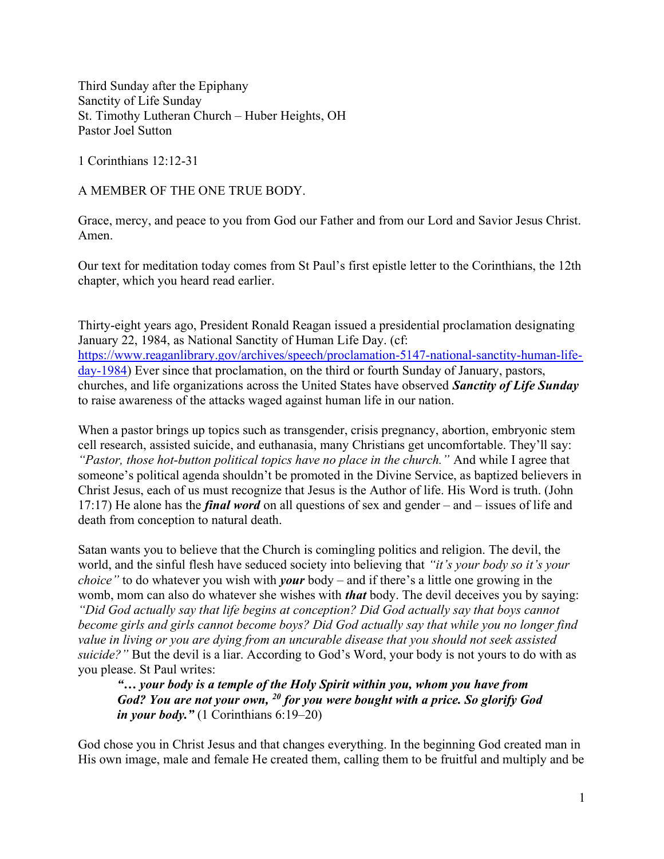Third Sunday after the Epiphany Sanctity of Life Sunday St. Timothy Lutheran Church – Huber Heights, OH Pastor Joel Sutton

1 Corinthians 12:12-31

A MEMBER OF THE ONE TRUE BODY.

Grace, mercy, and peace to you from God our Father and from our Lord and Savior Jesus Christ. Amen.

Our text for meditation today comes from St Paul's first epistle letter to the Corinthians, the 12th chapter, which you heard read earlier.

Thirty-eight years ago, President Ronald Reagan issued a presidential proclamation designating January 22, 1984, as National Sanctity of Human Life Day. (cf: https://www.reaganlibrary.gov/archives/speech/proclamation-5147-national-sanctity-human-lifeday-1984) Ever since that proclamation, on the third or fourth Sunday of January, pastors, churches, and life organizations across the United States have observed **Sanctity of Life Sunday** to raise awareness of the attacks waged against human life in our nation.

When a pastor brings up topics such as transgender, crisis pregnancy, abortion, embryonic stem cell research, assisted suicide, and euthanasia, many Christians get uncomfortable. They'll say: "Pastor, those hot-button political topics have no place in the church." And while I agree that someone's political agenda shouldn't be promoted in the Divine Service, as baptized believers in Christ Jesus, each of us must recognize that Jesus is the Author of life. His Word is truth. (John 17:17) He alone has the *final word* on all questions of sex and gender – and – issues of life and death from conception to natural death.

Satan wants you to believe that the Church is comingling politics and religion. The devil, the world, and the sinful flesh have seduced society into believing that "*it's your body so it's your choice*" to do whatever you wish with *your* body – and if there's a little one growing in the womb, mom can also do whatever she wishes with *that* body. The devil deceives you by saying: "Did God actually say that life begins at conception? Did God actually say that boys cannot become girls and girls cannot become boys? Did God actually say that while you no longer find value in living or you are dying from an uncurable disease that you should not seek assisted suicide?" But the devil is a liar. According to God's Word, your body is not yours to do with as you please. St Paul writes:

"… your body is a temple of the Holy Spirit within you, whom you have from God? You are not your own,  $^{20}$  for you were bought with a price. So glorify God in your body."  $(1$  Corinthians  $6:19-20)$ 

God chose you in Christ Jesus and that changes everything. In the beginning God created man in His own image, male and female He created them, calling them to be fruitful and multiply and be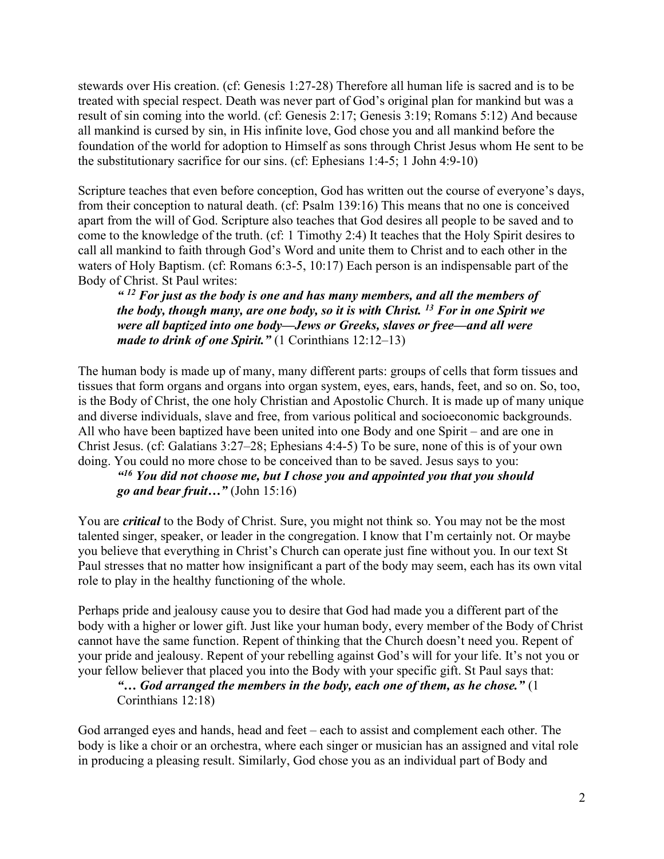stewards over His creation. (cf: Genesis 1:27-28) Therefore all human life is sacred and is to be treated with special respect. Death was never part of God's original plan for mankind but was a result of sin coming into the world. (cf: Genesis 2:17; Genesis 3:19; Romans 5:12) And because all mankind is cursed by sin, in His infinite love, God chose you and all mankind before the foundation of the world for adoption to Himself as sons through Christ Jesus whom He sent to be the substitutionary sacrifice for our sins. (cf: Ephesians 1:4-5; 1 John 4:9-10)

Scripture teaches that even before conception, God has written out the course of everyone's days, from their conception to natural death. (cf: Psalm 139:16) This means that no one is conceived apart from the will of God. Scripture also teaches that God desires all people to be saved and to come to the knowledge of the truth. (cf: 1 Timothy 2:4) It teaches that the Holy Spirit desires to call all mankind to faith through God's Word and unite them to Christ and to each other in the waters of Holy Baptism. (cf: Romans 6:3-5, 10:17) Each person is an indispensable part of the Body of Christ. St Paul writes:

 $4.12$  For just as the body is one and has many members, and all the members of the body, though many, are one body, so it is with Christ.  $^{13}$  For in one Spirit we were all baptized into one body—Jews or Greeks, slaves or free—and all were made to drink of one Spirit."  $(1$  Corinthians  $12:12-13)$ 

The human body is made up of many, many different parts: groups of cells that form tissues and tissues that form organs and organs into organ system, eyes, ears, hands, feet, and so on. So, too, is the Body of Christ, the one holy Christian and Apostolic Church. It is made up of many unique and diverse individuals, slave and free, from various political and socioeconomic backgrounds. All who have been baptized have been united into one Body and one Spirit – and are one in Christ Jesus. (cf: Galatians 3:27–28; Ephesians 4:4-5) To be sure, none of this is of your own doing. You could no more chose to be conceived than to be saved. Jesus says to you:

 $416$  You did not choose me, but I chose you and appointed you that you should go and bear fruit..." (John  $15:16$ )

You are *critical* to the Body of Christ. Sure, you might not think so. You may not be the most talented singer, speaker, or leader in the congregation. I know that I'm certainly not. Or maybe you believe that everything in Christ's Church can operate just fine without you. In our text St Paul stresses that no matter how insignificant a part of the body may seem, each has its own vital role to play in the healthy functioning of the whole.

Perhaps pride and jealousy cause you to desire that God had made you a different part of the body with a higher or lower gift. Just like your human body, every member of the Body of Christ cannot have the same function. Repent of thinking that the Church doesn't need you. Repent of your pride and jealousy. Repent of your rebelling against God's will for your life. It's not you or your fellow believer that placed you into the Body with your specific gift. St Paul says that:

## "... God arranged the members in the body, each one of them, as he chose."  $(1)$ Corinthians 12:18)

God arranged eyes and hands, head and feet – each to assist and complement each other. The body is like a choir or an orchestra, where each singer or musician has an assigned and vital role in producing a pleasing result. Similarly, God chose you as an individual part of Body and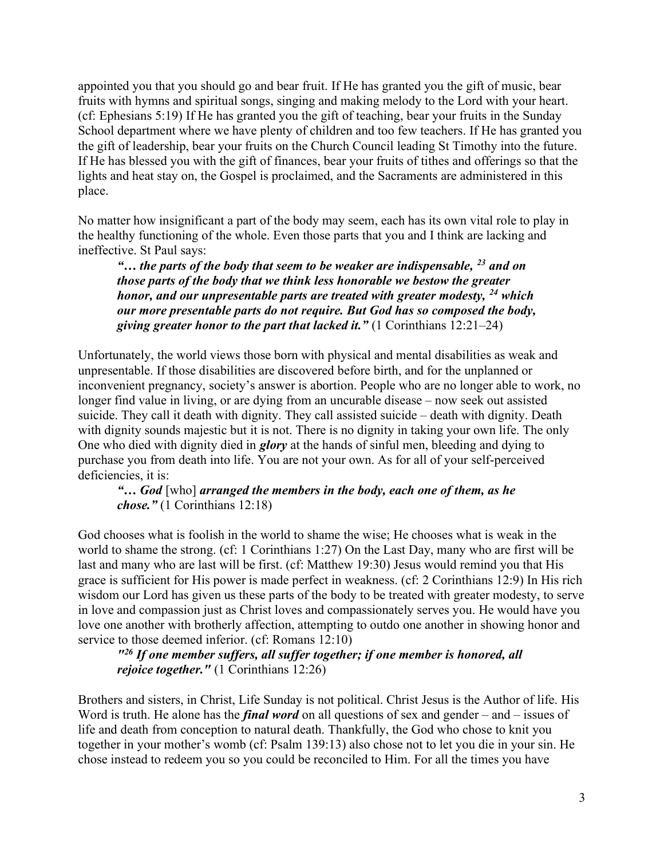appointed you that you should go and bear fruit. If He has granted you the gift of music, bear fruits with hymns and spiritual songs, singing and making melody to the Lord with your heart. (cf: Ephesians 5:19) If He has granted you the gift of teaching, bear your fruits in the Sunday School department where we have plenty of children and too few teachers. If He has granted you the gift of leadership, bear your fruits on the Church Council leading St Timothy into the future. If He has blessed you with the gift of finances, bear your fruits of tithes and offerings so that the lights and heat stay on, the Gospel is proclaimed, and the Sacraments are administered in this place.

No matter how insignificant a part of the body may seem, each has its own vital role to play in the healthy functioning of the whole. Even those parts that you and I think are lacking and ineffective. St Paul says:

"... the parts of the body that seem to be weaker are indispensable,  $^{23}$  and on those parts of the body that we think less honorable we bestow the greater honor, and our unpresentable parts are treated with greater modesty,  $^{24}$  which our more presentable parts do not require. But God has so composed the body, giving greater honor to the part that lacked it."  $(1$  Corinthians  $12:21-24)$ 

Unfortunately, the world views those born with physical and mental disabilities as weak and unpresentable. If those disabilities are discovered before birth, and for the unplanned or inconvenient pregnancy, society's answer is abortion. People who are no longer able to work, no longer find value in living, or are dying from an uncurable disease – now seek out assisted suicide. They call it death with dignity. They call assisted suicide – death with dignity. Death with dignity sounds majestic but it is not. There is no dignity in taking your own life. The only One who died with dignity died in *glory* at the hands of sinful men, bleeding and dying to purchase you from death into life. You are not your own. As for all of your self-perceived deficiencies, it is:

"... God [who] arranged the members in the body, each one of them, as he chose." (1 Corinthians 12:18)

God chooses what is foolish in the world to shame the wise; He chooses what is weak in the world to shame the strong. (cf: 1 Corinthians 1:27) On the Last Day, many who are first will be last and many who are last will be first. (cf: Matthew 19:30) Jesus would remind you that His grace is sufficient for His power is made perfect in weakness. (cf: 2 Corinthians 12:9) In His rich wisdom our Lord has given us these parts of the body to be treated with greater modesty, to serve in love and compassion just as Christ loves and compassionately serves you. He would have you love one another with brotherly affection, attempting to outdo one another in showing honor and service to those deemed inferior. (cf: Romans 12:10)

"<sup>26</sup> If one member suffers, all suffer together; if one member is honored, all rejoice together." (1 Corinthians 12:26)

Brothers and sisters, in Christ, Life Sunday is not political. Christ Jesus is the Author of life. His Word is truth. He alone has the *final word* on all questions of sex and gender – and – issues of life and death from conception to natural death. Thankfully, the God who chose to knit you together in your mother's womb (cf: Psalm 139:13) also chose not to let you die in your sin. He chose instead to redeem you so you could be reconciled to Him. For all the times you have